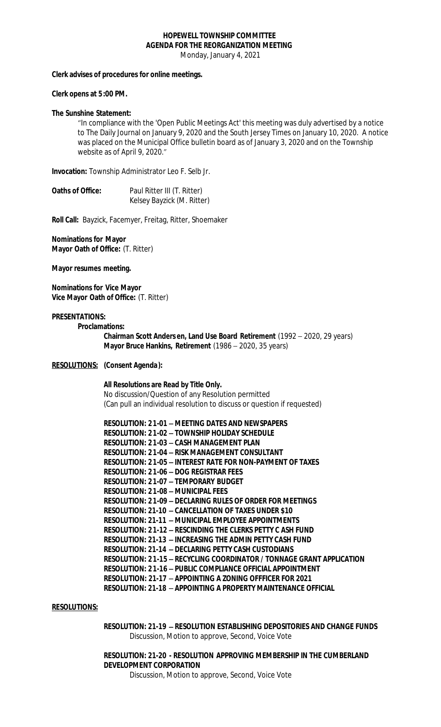# **HOPEWELL TOWNSHIP COMMITTEE AGENDA FOR THE REORGANIZATION MEETING**

Monday, January 4, 2021

## **Clerk advises of procedures for online meetings.**

#### **Clerk opens at 5:00 PM.**

### **The Sunshine Statement:**

"In compliance with the 'Open Public Meetings Act' this meeting was duly advertised by a notice to The Daily Journal on January 9, 2020 and the South Jersey Times on January 10, 2020. A notice was placed on the Municipal Office bulletin board as of January 3, 2020 and on the Township website as of April 9, 2020."

**Invocation:** Township Administrator Leo F. Selb Jr.

| Oaths of Office: | Paul Ritter III (T. Ritter) |
|------------------|-----------------------------|
|                  | Kelsey Bayzick (M. Ritter)  |

**Roll Call:** Bayzick, Facemyer, Freitag, Ritter, Shoemaker

**Nominations for Mayor Mayor Oath of Office:** (T. Ritter)

**Mayor resumes meeting.**

**Nominations for Vice Mayor Vice Mayor Oath of Office:** (T. Ritter)

#### **PRESENTATIONS:**

**Proclamations:**

**Chairman Scott Anders en, Land Use Board Retirement** (1992 – 2020, 29 years) **Mayor Bruce Hankins, Retirement** (1986 – 2020, 35 years)

# **RESOLUTIONS: (Consent Agenda):**

**All Resolutions are Read by Title Only.** No discussion/Question of any Resolution permitted

(Can pull an individual resolution to discuss or question if requested)

| <b>RESOLUTION: 21-01 - MEETING DATES AND NEWSPAPERS</b>               |
|-----------------------------------------------------------------------|
| <b>RESOLUTION: 21-02 - TOWNSHIP HOLIDAY SCHEDULE</b>                  |
| <b>RESOLUTION: 21-03 - CASH MANAGEMENT PLAN</b>                       |
| RESOLUTION: 21-04 - RISK MANAGEMENT CONSULTANT                        |
| RESOLUTION: 21-05 - INTEREST RATE FOR NON-PAYMENT OF TAXES            |
| <b>RESOLUTION: 21-06 - DOG REGISTRAR FEES</b>                         |
| <b>RESOLUTION: 21-07 - TEMPORARY BUDGET</b>                           |
| <b>RESOLUTION: 21-08 - MUNICIPAL FEES</b>                             |
| <b>RESOLUTION: 21-09 - DECLARING RULES OF ORDER FOR MEETINGS</b>      |
| <b>RESOLUTION: 21-10 - CANCELLATION OF TAXES UNDER \$10</b>           |
| <b>RESOLUTION: 21-11 - MUNICIPAL EMPLOYEE APPOINTMENTS</b>            |
| <b>RESOLUTION: 21-12 - RESCINDING THE CLERKS PETTY C ASH FUND</b>     |
| <b>RESOLUTION: 21-13 - INCREASING THE ADMIN PETTY CASH FUND</b>       |
| RESOLUTION: 21-14 - DECLARING PETTY CASH CUSTODIANS                   |
| RESOLUTION: 21-15 - RECYCLING COORDINATOR / TONNAGE GRANT APPLICATION |
| <b>RESOLUTION: 21-16 - PUBLIC COMPLIANCE OFFICIAL APPOINTMENT</b>     |
| RESOLUTION: 21-17 - APPOINTING A ZONING OFFFICER FOR 2021             |
| RESOLUTION: 21-18 - APPOINTING A PROPERTY MAINTENANCE OFFICIAL        |

## **RESOLUTIONS:**

**RESOLUTION: 21-19** – **RESOLUTION ESTABLISHING DEPOSITORIES AND CHANGE FUNDS** Discussion, Motion to approve, Second, Voice Vote

**RESOLUTION: 21-20 - RESOLUTION APPROVING MEMBERSHIP IN THE CUMBERLAND DEVELOPMENT CORPORATION** 

Discussion, Motion to approve, Second, Voice Vote